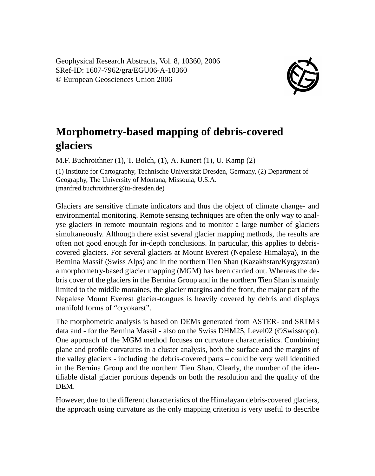Geophysical Research Abstracts, Vol. 8, 10360, 2006 SRef-ID: 1607-7962/gra/EGU06-A-10360 © European Geosciences Union 2006



## **Morphometry-based mapping of debris-covered glaciers**

M.F. Buchroithner (1), T. Bolch, (1), A. Kunert (1), U. Kamp (2) (1) Institute for Cartography, Technische Universität Dresden, Germany, (2) Department of Geography, The University of Montana, Missoula, U.S.A. (manfred.buchroithner@tu-dresden.de)

Glaciers are sensitive climate indicators and thus the object of climate change- and environmental monitoring. Remote sensing techniques are often the only way to analyse glaciers in remote mountain regions and to monitor a large number of glaciers simultaneously. Although there exist several glacier mapping methods, the results are often not good enough for in-depth conclusions. In particular, this applies to debriscovered glaciers. For several glaciers at Mount Everest (Nepalese Himalaya), in the Bernina Massif (Swiss Alps) and in the northern Tien Shan (Kazakhstan/Kyrgyzstan) a morphometry-based glacier mapping (MGM) has been carried out. Whereas the debris cover of the glaciers in the Bernina Group and in the northern Tien Shan is mainly limited to the middle moraines, the glacier margins and the front, the major part of the Nepalese Mount Everest glacier-tongues is heavily covered by debris and displays manifold forms of "cryokarst".

The morphometric analysis is based on DEMs generated from ASTER- and SRTM3 data and - for the Bernina Massif - also on the Swiss DHM25, Level02 (©Swisstopo). One approach of the MGM method focuses on curvature characteristics. Combining plane and profile curvatures in a cluster analysis, both the surface and the margins of the valley glaciers - including the debris-covered parts – could be very well identified in the Bernina Group and the northern Tien Shan. Clearly, the number of the identifiable distal glacier portions depends on both the resolution and the quality of the DEM.

However, due to the different characteristics of the Himalayan debris-covered glaciers, the approach using curvature as the only mapping criterion is very useful to describe